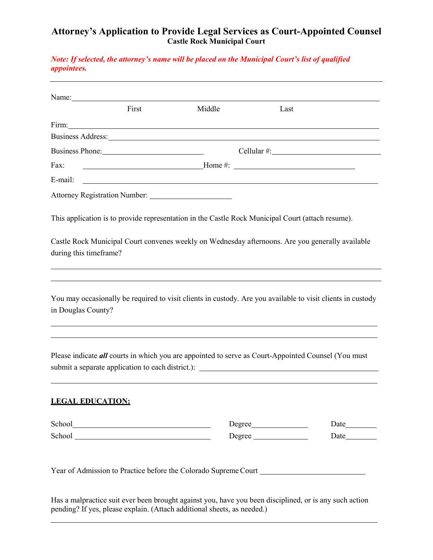# **Attorney's Application to Provide Legal Services as Court-Appointed Counsel Castle Rock Municipal Court**

*Note: If selected, the attorney's name will be placed on the Municipal Court's list of qualified appointees.*

| Name: $\frac{1}{2}$                                                     |                  |                                                                                                                                                                                                                                                                                                                       |        |  |  |
|-------------------------------------------------------------------------|------------------|-----------------------------------------------------------------------------------------------------------------------------------------------------------------------------------------------------------------------------------------------------------------------------------------------------------------------|--------|--|--|
|                                                                         | First            | Middle                                                                                                                                                                                                                                                                                                                | Last   |  |  |
| Firm:                                                                   |                  | <u> 1989 - Johann Stoff, amerikansk politiker (d. 1989)</u>                                                                                                                                                                                                                                                           |        |  |  |
|                                                                         |                  | Business Address: New York Contract to the Contract of the Contract of the Contract of the Contract of the Contract of the Contract of the Contract of the Contract of the Contract of the Contract of the Contract of the Con                                                                                        |        |  |  |
|                                                                         | $Cellular \#:\_$ |                                                                                                                                                                                                                                                                                                                       |        |  |  |
| Fax:                                                                    |                  | $\frac{1}{2}$ Home #: $\frac{1}{2}$ $\frac{1}{2}$ $\frac{1}{2}$ $\frac{1}{2}$ $\frac{1}{2}$ $\frac{1}{2}$ $\frac{1}{2}$ $\frac{1}{2}$ $\frac{1}{2}$ $\frac{1}{2}$ $\frac{1}{2}$ $\frac{1}{2}$ $\frac{1}{2}$ $\frac{1}{2}$ $\frac{1}{2}$ $\frac{1}{2}$ $\frac{1}{2}$ $\frac{1}{2}$ $\frac{1}{2}$ $\frac{1}{2}$ $\frac$ |        |  |  |
| E-mail:                                                                 |                  | <u>state and the state of the state of the state of the state of the state of the state of the state of the state of the state of the state of the state of the state of the state of the state of the state of the state of the</u>                                                                                  |        |  |  |
|                                                                         |                  |                                                                                                                                                                                                                                                                                                                       |        |  |  |
|                                                                         |                  | This application is to provide representation in the Castle Rock Municipal Court (attach resume).                                                                                                                                                                                                                     |        |  |  |
|                                                                         |                  |                                                                                                                                                                                                                                                                                                                       |        |  |  |
|                                                                         |                  | Castle Rock Municipal Court convenes weekly on Wednesday afternoons. Are you generally available                                                                                                                                                                                                                      |        |  |  |
|                                                                         |                  |                                                                                                                                                                                                                                                                                                                       |        |  |  |
|                                                                         |                  |                                                                                                                                                                                                                                                                                                                       |        |  |  |
|                                                                         |                  | You may occasionally be required to visit clients in custody. Are you available to visit clients in custody                                                                                                                                                                                                           |        |  |  |
|                                                                         |                  | Please indicate all courts in which you are appointed to serve as Court-Appointed Counsel (You must                                                                                                                                                                                                                   |        |  |  |
|                                                                         |                  |                                                                                                                                                                                                                                                                                                                       |        |  |  |
| during this timeframe?<br>in Douglas County?<br><b>LEGAL EDUCATION:</b> |                  |                                                                                                                                                                                                                                                                                                                       | Degree |  |  |

Has a malpractice suit ever been brought against you, have you been disciplined, or is any such action pending? If yes, please explain. (Attach additional sheets, as needed.)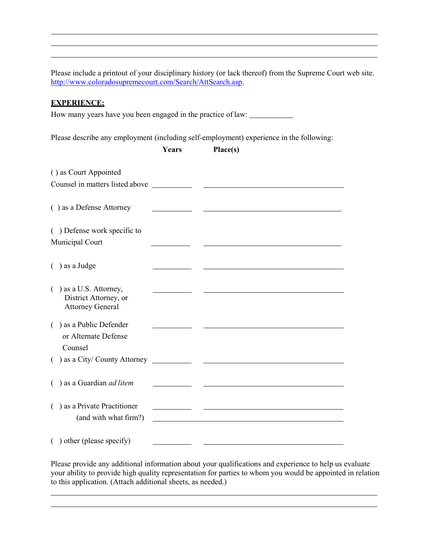Please include a printout of your disciplinary history (or lack thereof) from the Supreme Court web site. [http://www.coloradosupremecourt.com/Search/AttSearch.asp.](http://www.coloradosupremecourt.com/Search/AttSearch.asp)

## **EXPERIENCE:**

How many years have you been engaged in the practice of law:

Please describe any employment (including self-employment) experience in the following:

|                                                                               | Years | Place(s)                                           |
|-------------------------------------------------------------------------------|-------|----------------------------------------------------|
| () as Court Appointed<br>Counsel in matters listed above                      |       |                                                    |
|                                                                               |       |                                                    |
| () as a Defense Attorney                                                      |       |                                                    |
| () Defense work specific to                                                   |       |                                                    |
| Municipal Court                                                               |       |                                                    |
| ) as a Judge                                                                  |       |                                                    |
| $( )$ as a U.S. Attorney,<br>District Attorney, or<br><b>Attorney General</b> |       |                                                    |
| () as a Public Defender<br>or Alternate Defense                               |       |                                                    |
| Counsel                                                                       |       |                                                    |
|                                                                               |       |                                                    |
| () as a Guardian <i>ad litem</i>                                              |       |                                                    |
| $($ ) as a Private Practitioner                                               |       | <u> 1989 - John Stein, Amerikaansk politiker (</u> |
| (and with what firm?)                                                         |       |                                                    |
| () other (please specify)                                                     |       |                                                    |

Please provide any additional information about your qualifications and experience to help us evaluate your ability to provide high quality representation for parties to whom you would be appointed in relation to this application. (Attach additional sheets, as needed.)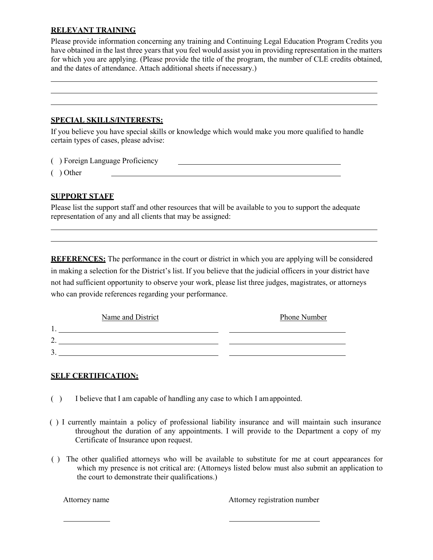#### **RELEVANT TRAINING**

Please provide information concerning any training and Continuing Legal Education Program Credits you have obtained in the last three years that you feel would assist you in providing representation in the matters for which you are applying. (Please provide the title of the program, the number of CLE credits obtained, and the dates of attendance. Attach additional sheets if necessary.)

#### **SPECIAL SKILLS/INTERESTS:**

If you believe you have special skills or knowledge which would make you more qualified to handle certain types of cases, please advise:

( ) Foreign Language Proficiency

( ) Other

## **SUPPORT STAFF**

Please list the support staff and other resources that will be available to you to support the adequate representation of any and all clients that may be assigned:

**REFERENCES:** The performance in the court or district in which you are applying will be considered in making a selection for the District's list. If you believe that the judicial officers in your district have not had sufficient opportunity to observe your work, please list three judges, magistrates, or attorneys who can provide references regarding your performance.

|            | Name and District | Phone Number |
|------------|-------------------|--------------|
| . L        |                   |              |
| $\sqrt{2}$ |                   |              |
| Δ<br>◡     |                   |              |

## **SELF CERTIFICATION:**

- ( ) I believe that I am capable of handling any case to which I amappointed.
- ( ) I currently maintain a policy of professional liability insurance and will maintain such insurance throughout the duration of any appointments. I will provide to the Department a copy of my Certificate of Insurance upon request.
- ( ) The other qualified attorneys who will be available to substitute for me at court appearances for which my presence is not critical are: (Attorneys listed below must also submit an application to the court to demonstrate their qualifications.)

Attorney name Attorney registration number